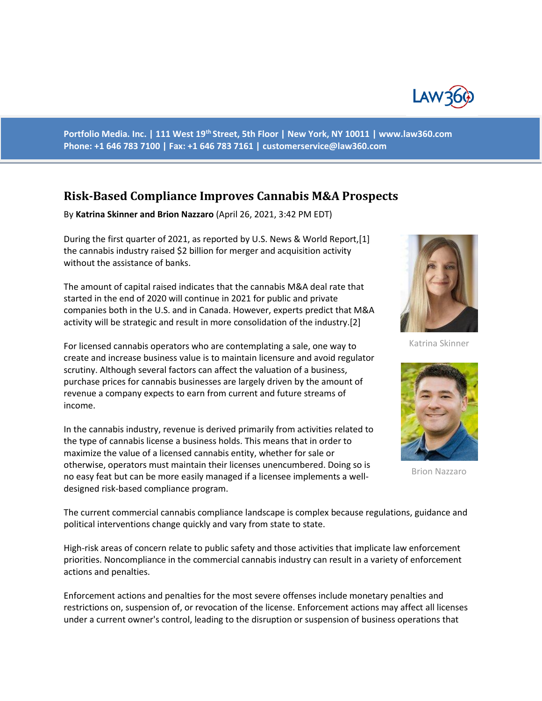

**Portfolio Media. Inc. | 111 West 19th Street, 5th Floor | New York, NY 10011 | www.law360.com Phone: +1 646 783 7100 | Fax: +1 646 783 7161 | customerservice@law360.com**

# **Risk-Based Compliance Improves Cannabis M&A Prospects**

By **Katrina Skinner and Brion Nazzaro** (April 26, 2021, 3:42 PM EDT)

During the first quarter of 2021, as reported by U.S. News & World Report,[1] the cannabis industry raised \$2 billion for merger and acquisition activity without the assistance of banks.

The amount of capital raised indicates that the cannabis M&A deal rate that started in the end of 2020 will continue in 2021 for public and private companies both in the U.S. and in Canada. However, experts predict that M&A activity will be strategic and result in more consolidation of the industry.[2]

For licensed cannabis operators who are contemplating a sale, one way to create and increase business value is to maintain licensure and avoid regulator scrutiny. Although several factors can affect the valuation of a business, purchase prices for cannabis businesses are largely driven by the amount of revenue a company expects to earn from current and future streams of income.

In the cannabis industry, revenue is derived primarily from activities related to the type of cannabis license a business holds. This means that in order to maximize the value of a licensed cannabis entity, whether for sale or otherwise, operators must maintain their licenses unencumbered. Doing so is no easy feat but can be more easily managed if a licensee implements a welldesigned risk-based compliance program.



Katrina Skinner



Brion Nazzaro

The current commercial cannabis compliance landscape is complex because regulations, guidance and political interventions change quickly and vary from state to state.

High-risk areas of concern relate to public safety and those activities that implicate law enforcement priorities. Noncompliance in the commercial cannabis industry can result in a variety of enforcement actions and penalties.

Enforcement actions and penalties for the most severe offenses include monetary penalties and restrictions on, suspension of, or revocation of the license. Enforcement actions may affect all licenses under a current owner's control, leading to the disruption or suspension of business operations that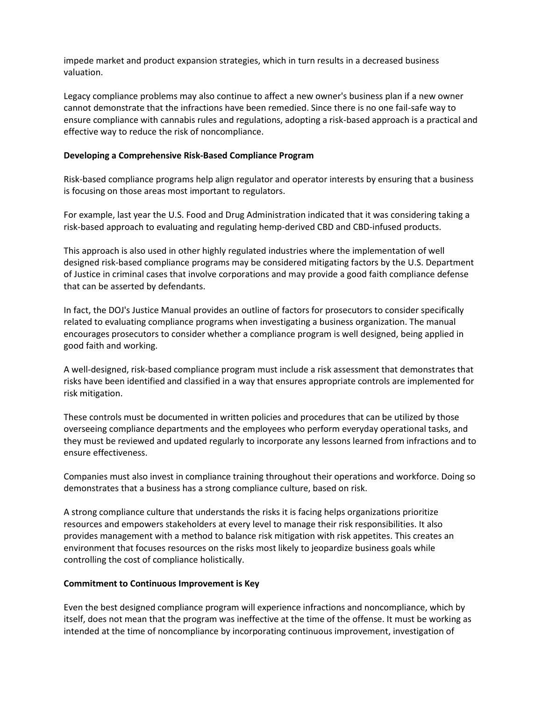impede market and product expansion strategies, which in turn results in a decreased business valuation.

Legacy compliance problems may also continue to affect a new owner's business plan if a new owner cannot demonstrate that the infractions have been remedied. Since there is no one fail-safe way to ensure compliance with cannabis rules and regulations, adopting a risk-based approach is a practical and effective way to reduce the risk of noncompliance.

## **Developing a Comprehensive Risk-Based Compliance Program**

Risk-based compliance programs help align regulator and operator interests by ensuring that a business is focusing on those areas most important to regulators.

For example, last year the U.S. Food and Drug Administration indicated that it was considering taking a risk-based approach to evaluating and regulating hemp-derived CBD and CBD-infused products.

This approach is also used in other highly regulated industries where the implementation of well designed risk-based compliance programs may be considered mitigating factors by the U.S. Department of Justice in criminal cases that involve corporations and may provide a good faith compliance defense that can be asserted by defendants.

In fact, the DOJ's Justice Manual provides an outline of factors for prosecutors to consider specifically related to evaluating compliance programs when investigating a business organization. The manual encourages prosecutors to consider whether a compliance program is well designed, being applied in good faith and working.

A well-designed, risk-based compliance program must include a risk assessment that demonstrates that risks have been identified and classified in a way that ensures appropriate controls are implemented for risk mitigation.

These controls must be documented in written policies and procedures that can be utilized by those overseeing compliance departments and the employees who perform everyday operational tasks, and they must be reviewed and updated regularly to incorporate any lessons learned from infractions and to ensure effectiveness.

Companies must also invest in compliance training throughout their operations and workforce. Doing so demonstrates that a business has a strong compliance culture, based on risk.

A strong compliance culture that understands the risks it is facing helps organizations prioritize resources and empowers stakeholders at every level to manage their risk responsibilities. It also provides management with a method to balance risk mitigation with risk appetites. This creates an environment that focuses resources on the risks most likely to jeopardize business goals while controlling the cost of compliance holistically.

## **Commitment to Continuous Improvement is Key**

Even the best designed compliance program will experience infractions and noncompliance, which by itself, does not mean that the program was ineffective at the time of the offense. It must be working as intended at the time of noncompliance by incorporating continuous improvement, investigation of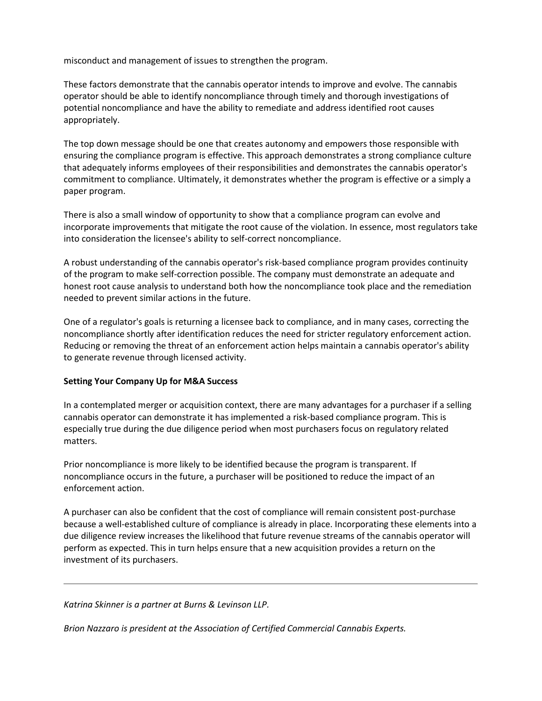misconduct and management of issues to strengthen the program.

These factors demonstrate that the cannabis operator intends to improve and evolve. The cannabis operator should be able to identify noncompliance through timely and thorough investigations of potential noncompliance and have the ability to remediate and address identified root causes appropriately.

The top down message should be one that creates autonomy and empowers those responsible with ensuring the compliance program is effective. This approach demonstrates a strong compliance culture that adequately informs employees of their responsibilities and demonstrates the cannabis operator's commitment to compliance. Ultimately, it demonstrates whether the program is effective or a simply a paper program.

There is also a small window of opportunity to show that a compliance program can evolve and incorporate improvements that mitigate the root cause of the violation. In essence, most regulators take into consideration the licensee's ability to self-correct noncompliance.

A robust understanding of the cannabis operator's risk-based compliance program provides continuity of the program to make self-correction possible. The company must demonstrate an adequate and honest root cause analysis to understand both how the noncompliance took place and the remediation needed to prevent similar actions in the future.

One of a regulator's goals is returning a licensee back to compliance, and in many cases, correcting the noncompliance shortly after identification reduces the need for stricter regulatory enforcement action. Reducing or removing the threat of an enforcement action helps maintain a cannabis operator's ability to generate revenue through licensed activity.

## **Setting Your Company Up for M&A Success**

In a contemplated merger or acquisition context, there are many advantages for a purchaser if a selling cannabis operator can demonstrate it has implemented a risk-based compliance program. This is especially true during the due diligence period when most purchasers focus on regulatory related matters.

Prior noncompliance is more likely to be identified because the program is transparent. If noncompliance occurs in the future, a purchaser will be positioned to reduce the impact of an enforcement action.

A purchaser can also be confident that the cost of compliance will remain consistent post-purchase because a well-established culture of compliance is already in place. Incorporating these elements into a due diligence review increases the likelihood that future revenue streams of the cannabis operator will perform as expected. This in turn helps ensure that a new acquisition provides a return on the investment of its purchasers.

### *Katrina Skinner is a partner at Burns & Levinson LLP.*

*Brion Nazzaro is president at the Association of Certified Commercial Cannabis Experts.*